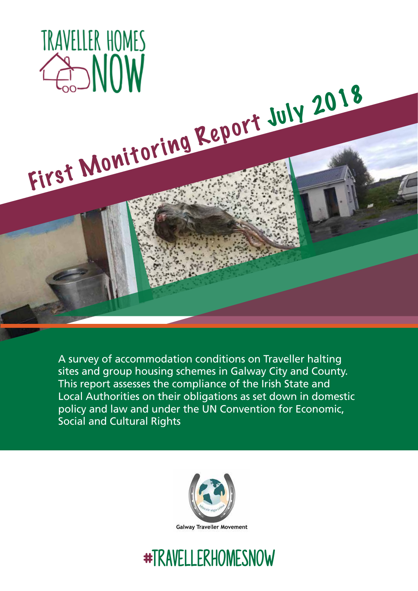

A survey of accommodation conditions on Traveller halting sites and group housing schemes in Galway City and County. This report assesses the compliance of the Irish State and Local Authorities on their obligations as set down in domestic policy and law and under the UN Convention for Economic, Social and Cultural Rights



# #travellerhomesnow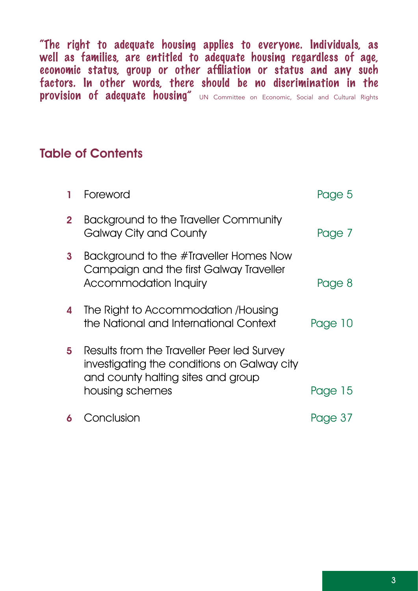"The right to adequate housing applies to everyone. Individuals, as well as families, are entitled to adequate housing regardless of age, economic status, group or other affiliation or status and any such factors. In other words, there should be no discrimination in the provision of adequate housing" UN Committee on Economic, Social and Cultural Rights

### Table of Contents

|              | Foreword                                                                                                                        | Page 5  |
|--------------|---------------------------------------------------------------------------------------------------------------------------------|---------|
| $\mathbf{2}$ | Background to the Traveller Community<br><b>Galway City and County</b>                                                          | Page 7  |
| 3            | Background to the #Traveller Homes Now<br>Campaign and the first Galway Traveller<br><b>Accommodation Inquiry</b>               | Page 8  |
| 4            | The Right to Accommodation /Housing<br>the National and International Context                                                   | Page 10 |
| 5            | Results from the Traveller Peer led Survey<br>investigating the conditions on Galway city<br>and county halting sites and group |         |
|              | housing schemes                                                                                                                 | Page 15 |
|              | Conclusion                                                                                                                      | Page 37 |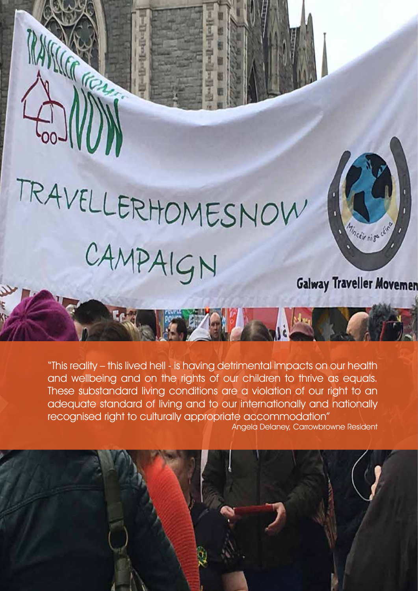# TRAVELLERHOMESNOW CAMPAIGN Galway Traveller Movemen

G



"This reality – this lived hell - is having detrimental impacts on our health and wellbeing and on the rights of our children to thrive as equals. These substandard living conditions are a violation of our right to an adequate standard of living and to our internationally and nationally recognised right to culturally appropriate accommodation"

Angela Delaney, Carrowbrowne Resident

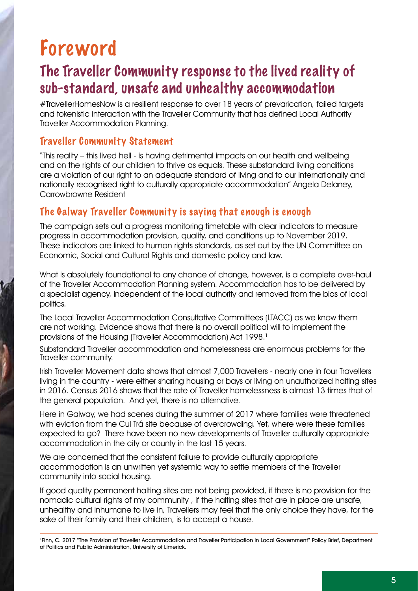# Foreword

## The Traveller Community response to the lived reality of sub-standard, unsafe and unhealthy accommodation

#TravellerHomesNow is a resilient response to over 18 years of prevarication, failed targets and tokenistic interaction with the Traveller Community that has defined Local Authority Traveller Accommodation Planning.

### Traveller Community Statement

"This reality – this lived hell - is having detrimental impacts on our health and wellbeing and on the rights of our children to thrive as equals. These substandard living conditions are a violation of our right to an adequate standard of living and to our internationally and nationally recognised right to culturally appropriate accommodation" Angela Delaney, Carrowbrowne Resident

### The Galway Traveller Community is saying that enough is enough

The campaign sets out a progress monitoring timetable with clear indicators to measure progress in accommodation provision, quality, and conditions up to November 2019. These indicators are linked to human rights standards, as set out by the UN Committee on Economic, Social and Cultural Rights and domestic policy and law.

What is absolutely foundational to any chance of change, however, is a complete over-haul of the Traveller Accommodation Planning system. Accommodation has to be delivered by a specialist agency, independent of the local authority and removed from the bias of local politics.

The Local Traveller Accommodation Consultative Committees (LTACC) as we know them are not working. Evidence shows that there is no overall political will to implement the provisions of the Housing (Traveller Accommodation) Act 1998.<sup>1</sup>

Substandard Traveller accommodation and homelessness are enormous problems for the Traveller community.

Irish Traveller Movement data shows that almost 7,000 Travellers - nearly one in four Travellers living in the country - were either sharing housing or bays or living on unauthorized halting sites in 2016. Census 2016 shows that the rate of Traveller homelessness is almost 13 times that of the general population. And yet, there is no alternative.

Here in Galway, we had scenes during the summer of 2017 where families were threatened with eviction from the Cul Trá site because of overcrowding. Yet, where were these families expected to go? There have been no new developments of Traveller culturally appropriate accommodation in the city or county in the last 15 years.

We are concerned that the consistent failure to provide culturally appropriate accommodation is an unwritten yet systemic way to settle members of the Traveller community into social housing.

If good quality permanent halting sites are not being provided, if there is no provision for the nomadic cultural rights of my community , if the halting sites that are in place are unsafe, unhealthy and inhumane to live in, Travellers may feel that the only choice they have, for the sake of their family and their children, is to accept a house.

<sup>1</sup>Finn, C. 2017 "The Provision of Traveller Accommodation and Traveller Participation in Local Government" Policy Brief, Department of Politics and Public Administration, University of Limerick.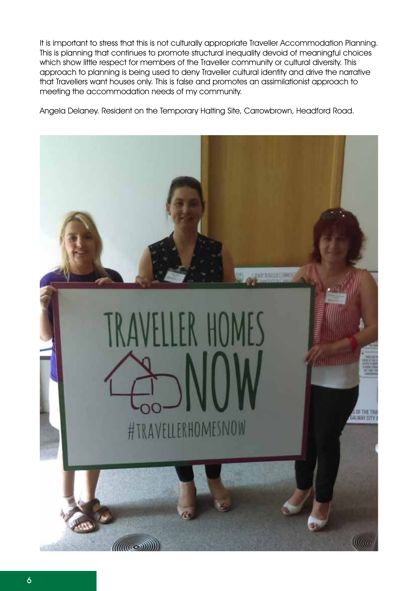It is important to stress that this is not culturally appropriate Traveller Accommodation Planning. This is planning that continues to promote structural inequality devoid of meaningful choices which show little respect for members of the Traveller community or cultural diversity. This approach to planning is being used to deny Traveller cultural identity and drive the narrative that Travellers want houses only. This is false and promotes an assimilationist approach to meeting the accommodation needs of my community.

Angela Delaney. Resident on the Temporary Halting Site, Carrowbrown, Headford Road.

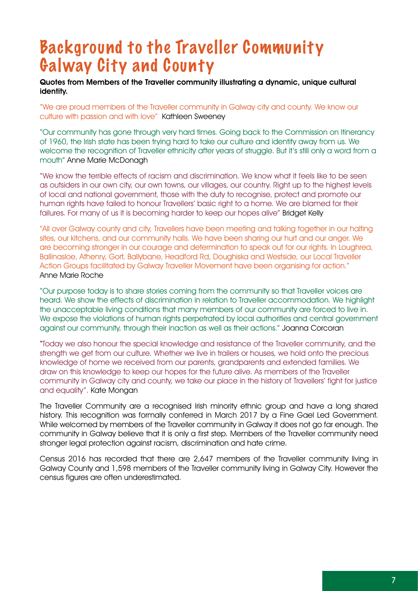# Background to the Traveller Community Galway City and County

### Quotes from Members of the Traveller community illustrating a dynamic, unique cultural identity.

"We are proud members of the Traveller community in Galway city and county. We know our culture with passion and with love" Kathleen Sweeney

"Our community has gone through very hard times. Going back to the Commission on Itinerancy of 1960, the Irish state has been trying hard to take our culture and identity away from us. We welcome the recognition of Traveller ethnicity after years of struggle. But it's still only a word from a mouth" Anne Marie McDonagh

"We know the terrible effects of racism and discrimination. We know what it feels like to be seen as outsiders in our own city, our own towns, our villages, our country. Right up to the highest levels of local and national government, those with the duty to recognise, protect and promote our human rights have failed to honour Travellers' basic right to a home. We are blamed for their failures. For many of us it is becoming harder to keep our hopes alive" Bridget Kelly

"All over Galway county and city, Travellers have been meeting and talking together in our halting sites, our kitchens, and our community halls. We have been sharing our hurt and our anger. We are becoming stronger in our courage and determination to speak out for our rights. In Loughrea, Ballinasloe, Athenry, Gort, Ballybane, Headford Rd, Doughiska and Westside, our Local Traveller Action Groups facilitated by Galway Traveller Movement have been organising for action." Anne Marie Roche

"Our purpose today is to share stories coming from the community so that Traveller voices are heard. We show the effects of discrimination in relation to Traveller accommodation. We highlight the unacceptable living conditions that many members of our community are forced to live in. We expose the violations of human rights perpetrated by local authorities and central government against our community, through their inaction as well as their actions." Joanna Corcoran

"Today we also honour the special knowledge and resistance of the Traveller community, and the strength we get from our culture. Whether we live in trailers or houses, we hold onto the precious knowledge of home we received from our parents, grandparents and extended families. We draw on this knowledge to keep our hopes for the future alive. As members of the Traveller community in Galway city and county, we take our place in the history of Travellers' fight for justice and equality". Kate Mongan

The Traveller Community are a recognised Irish minority ethnic group and have a long shared history. This recognition was formally conferred in March 2017 by a Fine Gael Led Government. While welcomed by members of the Traveller community in Galway it does not go far enough. The community in Galway believe that it is only a first step. Members of the Traveller community need stronger legal protection against racism, discrimination and hate crime.

Census 2016 has recorded that there are 2,647 members of the Traveller community living in Galway County and 1,598 members of the Traveller community living in Galway City. However the census figures are often underestimated.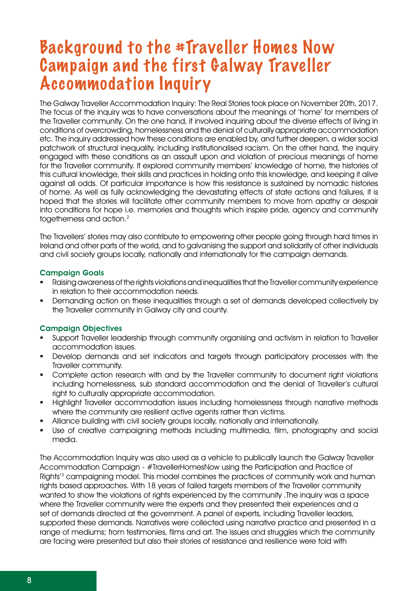# Background to the #Traveller Homes Now Campaign and the first Galway Traveller Accommodation Inquiry

The Galway Traveller Accommodation Inquiry: The Real Stories took place on November 20th, 2017. The focus of the inquiry was to have conversations about the meanings of 'home' for members of the Traveller community. On the one hand, it involved inquiring about the diverse effects of living in conditions of overcrowding, homelessness and the denial of culturally appropriate accommodation etc. The inquiry addressed how these conditions are enabled by, and further deepen, a wider social patchwork of structural inequality, including institutionalised racism. On the other hand, the inquiry engaged with these conditions as an assault upon and violation of precious meanings of home for the Traveller community. It explored community members' knowledge of home, the histories of this cultural knowledge, their skills and practices in holding onto this knowledge, and keeping it alive against all odds. Of particular importance is how this resistance is sustained by nomadic histories of home. As well as fully acknowledging the devastating effects of state actions and failures, it is hoped that the stories will facilitate other community members to move from apathy or despair into conditions for hope i.e. memories and thoughts which inspire pride, agency and community togetherness and action.<sup>2</sup>

The Travellers' stories may also contribute to empowering other people going through hard times in Ireland and other parts of the world, and to galvanising the support and solidarity of other individuals and civil society groups locally, nationally and internationally for the campaign demands.

### Campaign Goals

- Raising awareness of the rights violations and inequalities that the Traveller community experience in relation to their accommodation needs.
- **•** Demanding action on these inequalities through a set of demands developed collectively by the Traveller community in Galway city and county.

### Campaign Objectives

- Support Traveller leadership through community organising and activism in relation to Traveller accommodation issues.
- **•** Develop demands and set indicators and targets through participatory processes with the Traveller community.
- Complete action research with and by the Traveller community to document right violations including homelessness, sub standard accommodation and the denial of Traveller's cultural right to culturally appropriate accommodation.
- **Highlight Traveller accommodation issues including homelessness through narrative methods** where the community are resilient active agents rather than victims.
- Alliance building with civil society groups locally, nationally and internationally.
- Use of creative campaigning methods including multimedia, film, photography and social media.

The Accommodation Inquiry was also used as a vehicle to publically launch the Galway Traveller Accommodation Campaign - #TravellerHomesNow using the Participation and Practice of Rights'3 campaigning model. This model combines the practices of community work and human rights based approaches. With 18 years of failed targets members of the Traveller community wanted to show the violations of rights experienced by the community .The inquiry was a space where the Traveller community were the experts and they presented their experiences and a set of demands directed at the government. A panel of experts, including Traveller leaders, supported these demands. Narratives were collected using narrative practice and presented in a range of mediums; from testimonies, films and art. The issues and struggles which the community are facing were presented but also their stories of resistance and resilience were told with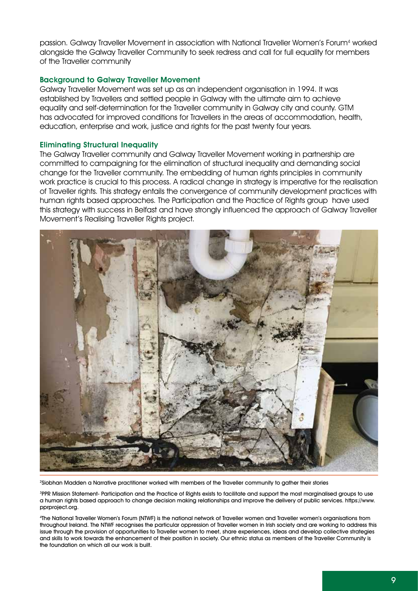passion. Galway Traveller Movement in association with National Traveller Women's Forum<sup>4</sup> worked alongside the Galway Traveller Community to seek redress and call for full equality for members of the Traveller community

### Background to Galway Traveller Movement

Galway Traveller Movement was set up as an independent organisation in 1994. It was established by Travellers and settled people in Galway with the ultimate aim to achieve equality and self-determination for the Traveller community in Galway city and county. GTM has advocated for improved conditions for Travellers in the areas of accommodation, health, education, enterprise and work, justice and rights for the past twenty four years.

#### Eliminating Structural Inequality

The Galway Traveller community and Galway Traveller Movement working in partnership are committed to campaigning for the elimination of structural inequality and demanding social change for the Traveller community. The embedding of human rights principles in community work practice is crucial to this process. A radical change in strategy is imperative for the realisation of Traveller rights. This strategy entails the convergence of community development practices with human rights based approaches. The Participation and the Practice of Rights group have used this strategy with success in Belfast and have strongly influenced the approach of Galway Traveller Movement's Realising Traveller Rights project.



2Siobhan Madden a Narrative practitioner worked with members of the Traveller community to gather their stories

<sup>3</sup>PPR Mission Statement- Participation and the Practice of Rights exists to facilitate and support the most marginalised groups to use a human rights based approach to change decision making relationships and improve the delivery of public services. https://www. pprproject.org.

4The National Traveller Women's Forum (NTWF) is the national network of Traveller women and Traveller women's organisations from throughout Ireland. The NTWF recognises the particular oppression of Traveller women in Irish society and are working to address this issue through the provision of opportunities to Traveller women to meet, share experiences, ideas and develop collective strategies and skills to work towards the enhancement of their position in society. Our ethnic status as members of the Traveller Community is the foundation on which all our work is built.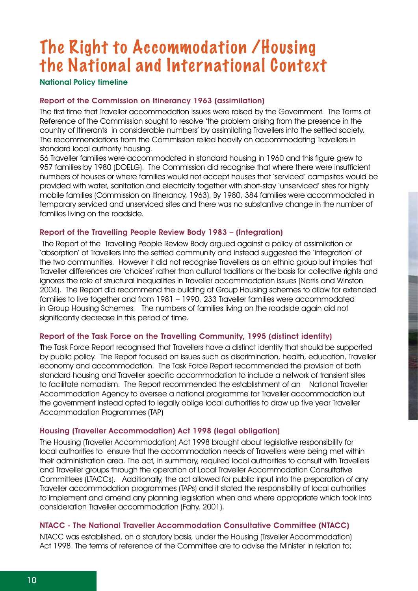# The Right to Accommodation /Housing the National and International Context

National Policy timeline

### Report of the Commission on Itinerancy 1963 (assimilation)

The first time that Traveller accommodation issues were raised by the Government. The Terms of Reference of the Commission sought to resolve 'the problem arising from the presence in the country of Itinerants in considerable numbers' by assimilating Travellers into the settled society. The recommendations from the Commission relied heavily on accommodating Travellers in standard local authority housing.

56 Traveller families were accommodated in standard housing in 1960 and this figure grew to 957 families by 1980 (DOELG). The Commission did recognise that where there were insufficient numbers of houses or where families would not accept houses that 'serviced' campsites would be provided with water, sanitation and electricity together with short-stay 'unserviced' sites for highly mobile families (Commission on Itinerancy, 1963). By 1980, 384 families were accommodated in temporary serviced and unserviced sites and there was no substantive change in the number of families living on the roadside.

### Report of the Travelling People Review Body 1983 – (Integration)

 The Report of the Travelling People Review Body argued against a policy of assimilation or 'absorption' of Travellers into the settled community and instead suggested the 'integration' of the two communities. However it did not recognise Travellers as an ethnic group but implies that Traveller differences are 'choices' rather than cultural traditions or the basis for collective rights and ignores the role of structural inequalities in Traveller accommodation issues (Norris and Winston 2004). The Report did recommend the building of Group Housing schemes to allow for extended families to live together and from 1981 – 1990, 233 Traveller families were accommodated in Group Housing Schemes. The numbers of families living on the roadside again did not significantly decrease in this period of time.

#### Report of the Task Force on the Travelling Community, 1995 (distinct identity)

The Task Force Report recognised that Travellers have a distinct identity that should be supported by public policy. The Report focused on issues such as discrimination, health, education, Traveller economy and accommodation. The Task Force Report recommended the provision of both standard housing and Traveller specific accommodation to include a network of transient sites to facilitate nomadism. The Report recommended the establishment of an National Traveller Accommodation Agency to oversee a national programme for Traveller accommodation but the government instead opted to legally oblige local authorities to draw up five year Traveller Accommodation Programmes (TAP)

#### Housing (Traveller Accommodation) Act 1998 (legal obligation)

The Housing (Traveller Accommodation) Act 1998 brought about legislative responsibility for local authorities to ensure that the accommodation needs of Travellers were being met within their administration area. The act, in summary, required local authorities to consult with Travellers and Traveller groups through the operation of Local Traveller Accommodation Consultative Committees (LTACCs). Additionally, the act allowed for public input into the preparation of any Traveller accommodation programmes (TAPs) and it stated the responsibility of local authorities to implement and amend any planning legislation when and where appropriate which took into consideration Traveller accommodation (Fahy, 2001).

### NTACC - The National Traveller Accommodation Consultative Committee (NTACC)

NTACC was established, on a statutory basis, under the Housing (Trsveller Accommodation) Act 1998. The terms of reference of the Committee are to advise the Minister in relation to: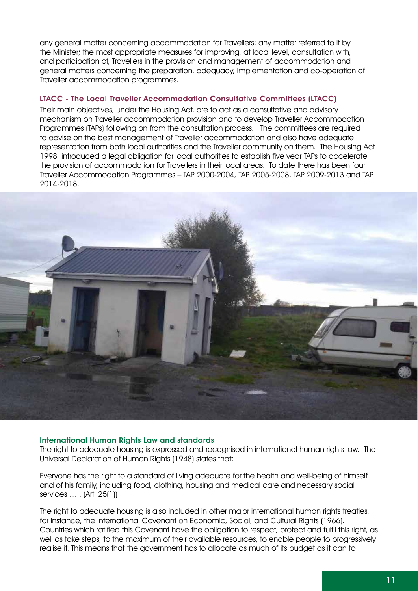any general matter concerning accommodation for Travellers; any matter referred to it by the Minister; the most appropriate measures for improving, at local level, consultation with, and participation of, Travellers in the provision and management of accommodation and general matters concerning the preparation, adequacy, implementation and co-operation of Traveller accommodation programmes.

### LTACC - The Local Traveller Accommodation Consultative Committees (LTACC)

Their main objectives, under the Housing Act, are to act as a consultative and advisory mechanism on Traveller accommodation provision and to develop Traveller Accommodation Programmes (TAPs) following on from the consultation process. The committees are required to advise on the best management of Traveller accommodation and also have adequate representation from both local authorities and the Traveller community on them. The Housing Act 1998 introduced a legal obligation for local authorities to establish five year TAPs to accelerate the provision of accommodation for Travellers in their local areas. To date there has been four Traveller Accommodation Programmes – TAP 2000-2004, TAP 2005-2008, TAP 2009-2013 and TAP 2014-2018.



#### International Human Rights Law and standards

The right to adequate housing is expressed and recognised in international human rights law. The Universal Declaration of Human Rights (1948) states that:

Everyone has the right to a standard of living adequate for the health and well-being of himself and of his family, including food, clothing, housing and medical care and necessary social services … . (Art. 25(1))

The right to adequate housing is also included in other major international human rights treaties, for instance, the International Covenant on Economic, Social, and Cultural Rights (1966). Countries which ratified this Covenant have the obligation to respect, protect and fulfil this right, as well as take steps, to the maximum of their available resources, to enable people to progressively realise it. This means that the government has to allocate as much of its budget as it can to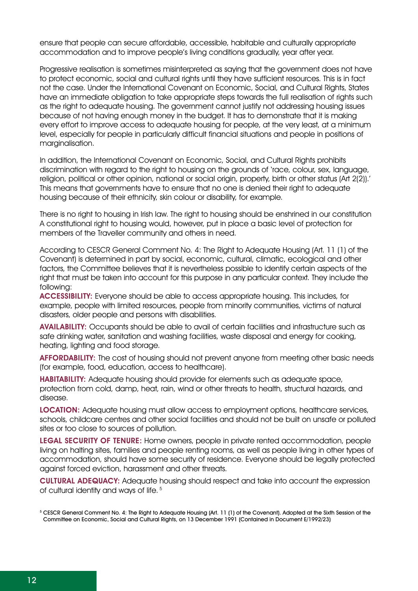ensure that people can secure affordable, accessible, habitable and culturally appropriate accommodation and to improve people's living conditions gradually, year after year.

Progressive realisation is sometimes misinterpreted as saying that the government does not have to protect economic, social and cultural rights until they have sufficient resources. This is in fact not the case. Under the International Covenant on Economic, Social, and Cultural Rights, States have an immediate obligation to take appropriate steps towards the full realisation of rights such as the right to adequate housing. The government cannot justify not addressing housing issues because of not having enough money in the budget. It has to demonstrate that it is making every effort to improve access to adequate housing for people, at the very least, at a minimum level, especially for people in particularly difficult financial situations and people in positions of marginalisation.

In addition, the International Covenant on Economic, Social, and Cultural Rights prohibits discrimination with regard to the right to housing on the grounds of 'race, colour, sex, language, religion, political or other opinion, national or social origin, property, birth or other status (Art 2(2)).' This means that governments have to ensure that no one is denied their right to adequate housing because of their ethnicity, skin colour or disability, for example.

There is no right to housing in Irish law. The right to housing should be enshrined in our constitution A constitutional right to housing would, however, put in place a basic level of protection for members of the Traveller community and others in need.

According to CESCR General Comment No. 4: The Right to Adequate Housing (Art. 11 (1) of the Covenant) is determined in part by social, economic, cultural, climatic, ecological and other factors, the Committee believes that it is nevertheless possible to identify certain aspects of the right that must be taken into account for this purpose in any particular context. They include the following:

Accessibility: Everyone should be able to access appropriate housing. This includes, for example, people with limited resources, people from minority communities, victims of natural disasters, older people and persons with disabilities.

Availability: Occupants should be able to avail of certain facilities and infrastructure such as safe drinking water, sanitation and washing facilities, waste disposal and energy for cooking, heating, lighting and food storage.

AFFORDABILITY: The cost of housing should not prevent anyone from meeting other basic needs (for example, food, education, access to healthcare).

Habitability: Adequate housing should provide for elements such as adequate space, protection from cold, damp, heat, rain, wind or other threats to health, structural hazards, and disease.

LOCATION: Adequate housing must allow access to employment options, healthcare services, schools, childcare centres and other social facilities and should not be built on unsafe or polluted sites or too close to sources of pollution.

LEGAL SECURITY OF TENURE: Home owners, people in private rented accommodation, people living on halting sites, families and people renting rooms, as well as people living in other types of accommodation, should have some security of residence. Everyone should be legally protected against forced eviction, harassment and other threats.

Cultural adequacy: Adequate housing should respect and take into account the expression of cultural identity and ways of life.<sup>5</sup>

<sup>5</sup> CESCR General Comment No. 4: The Right to Adequate Housing (Art. 11 (1) of the Covenant). Adopted at the Sixth Session of the Committee on Economic, Social and Cultural Rights, on 13 December 1991 (Contained in Document E/1992/23)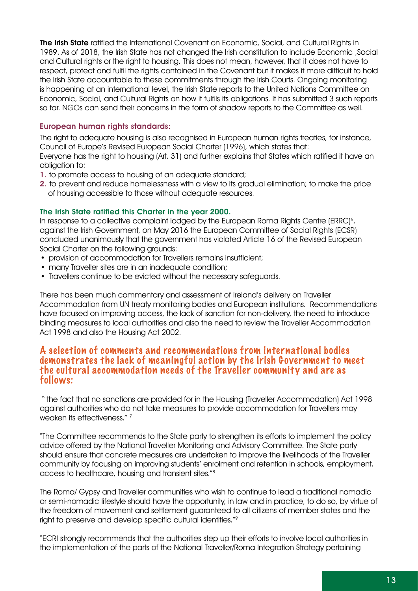**The Irish State** ratified the International Covenant on Economic, Social, and Cultural Rights in 1989. As of 2018, the Irish State has not changed the Irish constitution to include Economic ,Social and Cultural rights or the right to housing. This does not mean, however, that it does not have to respect, protect and fulfil the rights contained in the Covenant but it makes it more difficult to hold the Irish State accountable to these commitments through the Irish Courts. Ongoing monitoring is happening at an international level, the Irish State reports to the United Nations Committee on Economic, Social, and Cultural Rights on how it fulfils its obligations. It has submitted 3 such reports so far. NGOs can send their concerns in the form of shadow reports to the Committee as well.

### European human rights standards:

The right to adequate housing is also recognised in European human rights treaties, for instance, Council of Europe's Revised European Social Charter (1996), which states that: Everyone has the right to housing (Art. 31) and further explains that States which ratified it have an obligation to:

- 1. to promote access to housing of an adequate standard;
- 2. to prevent and reduce homelessness with a view to its gradual elimination; to make the price of housing accessible to those without adequate resources.

### The Irish State ratified this Charter in the year 2000.

In response to a collective complaint lodged by the European Roma Rights Centre (ERRC) $^{\circ}$ , against the Irish Government, on May 2016 the European Committee of Social Rights (ECSR) concluded unanimously that the government has violated Article 16 of the Revised European Social Charter on the following grounds:

- provision of accommodation for Travellers remains insufficient;
- many Traveller sites are in an inadequate condition;
- Travellers continue to be evicted without the necessary safeguards.

There has been much commentary and assessment of Ireland's delivery on Traveller Accommodation from UN treaty monitoring bodies and European institutions. Recommendations have focused on improving access, the lack of sanction for non-delivery, the need to introduce binding measures to local authorities and also the need to review the Traveller Accommodation Act 1998 and also the Housing Act 2002.

### A selection of comments and recommendations from international bodies demonstrates the lack of meaningful action by the Irish Government to meet the cultural accommodation needs of the Traveller community and are as follows:

 " the fact that no sanctions are provided for in the Housing (Traveller Accommodation) Act 1998 against authorities who do not take measures to provide accommodation for Travellers may weaken its effectiveness." 7

"The Committee recommends to the State party to strengthen its efforts to implement the policy advice offered by the National Traveller Monitoring and Advisory Committee. The State party should ensure that concrete measures are undertaken to improve the livelihoods of the Traveller community by focusing on improving students' enrolment and retention in schools, employment, access to healthcare, housing and transient sites."8

The Roma/ Gypsy and Traveller communities who wish to continue to lead a traditional nomadic or semi-nomadic lifestyle should have the opportunity, in law and in practice, to do so, by virtue of the freedom of movement and settlement guaranteed to all citizens of member states and the right to preserve and develop specific cultural identities."9

"ECRI strongly recommends that the authorities step up their efforts to involve local authorities in the implementation of the parts of the National Traveller/Roma Integration Strategy pertaining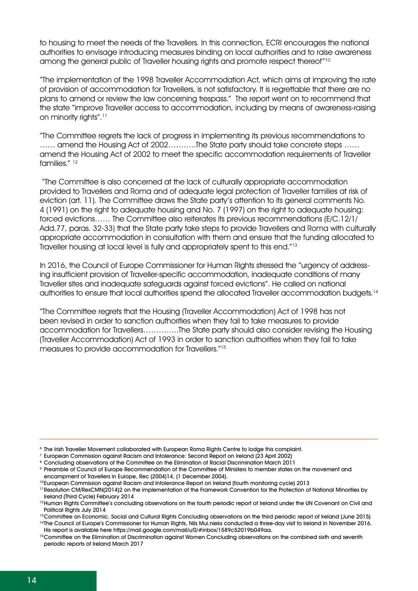to housing to meet the needs of the Travellers. In this connection, ECRI encourages the national authorities to envisage introducing measures binding on local authorities and to raise awareness among the general public of Traveller housing rights and promote respect thereof"10

"The implementation of the 1998 Traveller Accommodation Act, which aims at improving the rate of provision of accommodation for Travellers, is not satisfactory. It is regrettable that there are no plans to amend or review the law concerning trespass." The report went on to recommend that the state "improve Traveller access to accommodation, including by means of awareness-raising on minority rights".11

"The Committee regrets the lack of progress in implementing its previous recommendations to …… amend the Housing Act of 2002………..The State party should take concrete steps …… amend the Housing Act of 2002 to meet the specific accommodation requirements of Traveller families." 12

 "The Committee is also concerned at the lack of culturally appropriate accommodation provided to Travellers and Roma and of adequate legal protection of Traveller families at risk of eviction (art. 11). The Committee draws the State party's attention to its general comments No. 4 (1991) on the right to adequate housing and No. 7 (1997) on the right to adequate housing: forced evictions…… The Committee also reiterates its previous recommendations (E/C.12/1/ Add.77, paras. 32-33) that the State party take steps to provide Travellers and Roma with culturally appropriate accommodation in consultation with them and ensure that the funding allocated to Traveller housing at local level is fully and appropriately spent to this end."13

In 2016, the Council of Europe Commissioner for Human Rights stressed the "urgency of addressing insufficient provision of Traveller-specific accommodation, inadequate conditions of many Traveller sites and inadequate safeguards against forced evictions". He called on national authorities to ensure that local authorities spend the allocated Traveller accommodation budgets.14

"The Committee regrets that the Housing (Traveller Accommodation) Act of 1998 has not been revised in order to sanction authorities when they fail to take measures to provide accommodation for Travellers…………..The State party should also consider revising the Housing (Traveller Accommodation) Act of 1993 in order to sanction authorities when they fail to take measures to provide accommodation for Travellers."15

<sup>6</sup> The Irish Traveller Movement collaborated with European Roma Rights Centre to lodge this complaint.

<sup>7</sup> European Commission against Racism and Intolerance: Second Report on Ireland (23 April 2002)

<sup>&</sup>lt;sup>8</sup> Concluding observations of the Committee on the Elimination of Racial Discrimination March 2011

<sup>9</sup> Preamble of Council of Europe Recommendation of the Committee of Ministers to member states on the movement and encampment of Travellers in Europe, Rec (2004)14, (1 December 2004).

<sup>&</sup>lt;sup>10</sup>European Commission against Racism and Intolerance Report on Ireland (fourth monitoring cycle) 2013

<sup>11</sup>Resolution CM/ResCMN(2014)2 on the implementation of the Framework Convention for the Protection of National Minorities by Ireland (Third Cycle) February 2014

<sup>&</sup>lt;sup>12</sup>Human Rights Committee's concluding observations on the fourth periodic report of Ireland under the UN Covenant on Civil and Political Rights July 2014

<sup>&</sup>lt;sup>13</sup>Committee on Economic, Social and Cultural Rights Concluding observations on the third periodic report of Ireland (June 2015) <sup>14</sup>The Council of Europe's Commissioner for Human Rights, Nils Mui.nieks conducted a three-day visit to Ireland in November 2016.

His report is available here https://mail.google.com/mail/u/0/#inbox/1589c52019b049aa.

<sup>15</sup> Committee on the Elimination of Discrimination against Women Concluding observations on the combined sixth and seventh periodic reports of Ireland March 2017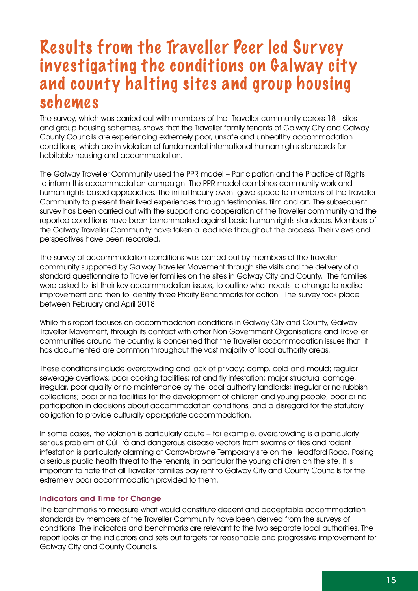# Results from the Traveller Peer led Sur vey investigating the conditions on Galway city and county halting sites and group housing schemes

The survey, which was carried out with members of the Traveller community across 18 - sites and group housing schemes, shows that the Traveller family tenants of Galway City and Galway County Councils are experiencing extremely poor, unsafe and unhealthy accommodation conditions, which are in violation of fundamental international human rights standards for habitable housing and accommodation.

The Galway Traveller Community used the PPR model – Participation and the Practice of Rights to inform this accommodation campaign. The PPR model combines community work and human rights based approaches. The initial Inquiry event gave space to members of the Traveller Community to present their lived experiences through testimonies, film and art. The subsequent survey has been carried out with the support and cooperation of the Traveller community and the reported conditions have been benchmarked against basic human rights standards. Members of the Galway Traveller Community have taken a lead role throughout the process. Their views and perspectives have been recorded.

The survey of accommodation conditions was carried out by members of the Traveller community supported by Galway Traveller Movement through site visits and the delivery of a standard questionnaire to Traveller families on the sites in Galway City and County. The families were asked to list their key accommodation issues, to outline what needs to change to realise improvement and then to identity three Priority Benchmarks for action. The survey took place between February and April 2018.

While this report focuses on accommodation conditions in Galway City and County, Galway Traveller Movement, through its contact with other Non Government Organisations and Traveller communities around the country, is concerned that the Traveller accommodation issues that it has documented are common throughout the vast majority of local authority areas.

These conditions include overcrowding and lack of privacy; damp, cold and mould; regular sewerage overflows; poor cooking facilities; rat and fly infestation; major structural damage; irregular, poor quality or no maintenance by the local authority landlords; irregular or no rubbish collections; poor or no facilities for the development of children and young people; poor or no participation in decisions about accommodation conditions, and a disregard for the statutory obligation to provide culturally appropriate accommodation.

In some cases, the violation is particularly acute – for example, overcrowding is a particularly serious problem at Cúl Trá and dangerous disease vectors from swarms of flies and rodent infestation is particularly alarming at Carrowbrowne Temporary site on the Headford Road. Posing a serious public health threat to the tenants, in particular the young children on the site. It is important to note that all Traveller families pay rent to Galway City and County Councils for the extremely poor accommodation provided to them.

### Indicators and Time for Change

The benchmarks to measure what would constitute decent and acceptable accommodation standards by members of the Traveller Community have been derived from the surveys of conditions. The indicators and benchmarks are relevant to the two separate local authorities. The report looks at the indicators and sets out targets for reasonable and progressive improvement for Galway City and County Councils.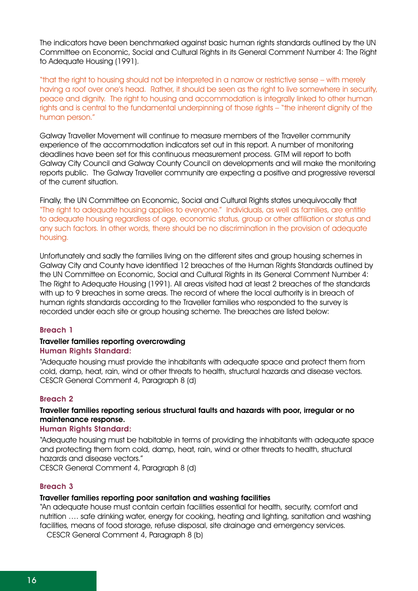The indicators have been benchmarked against basic human rights standards outlined by the UN Committee on Economic, Social and Cultural Rights in its General Comment Number 4: The Right to Adequate Housing (1991).

"that the right to housing should not be interpreted in a narrow or restrictive sense – with merely having a roof over one's head. Rather, it should be seen as the right to live somewhere in security, peace and dignity. The right to housing and accommodation is integrally linked to other human rights and is central to the fundamental underpinning of those rights – "the inherent dignity of the human person."

Galway Traveller Movement will continue to measure members of the Traveller community experience of the accommodation indicators set out in this report. A number of monitoring deadlines have been set for this continuous measurement process. GTM will report to both Galway City Council and Galway County Council on developments and will make the monitoring reports public. The Galway Traveller community are expecting a positive and progressive reversal of the current situation.

Finally, the UN Committee on Economic, Social and Cultural Rights states unequivocally that "The right to adequate housing applies to everyone." Individuals, as well as families, are entitle to adequate housing regardless of age, economic status, group or other affiliation or status and any such factors. In other words, there should be no discrimination in the provision of adequate housing.

Unfortunately and sadly the families living on the different sites and group housing schemes in Galway City and County have identified 12 breaches of the Human Rights Standards outlined by the UN Committee on Economic, Social and Cultural Rights in its General Comment Number 4: The Right to Adequate Housing (1991). All areas visited had at least 2 breaches of the standards with up to 9 breaches in some areas. The record of where the local authority is in breach of human rights standards according to the Traveller families who responded to the survey is recorded under each site or group housing scheme. The breaches are listed below:

#### Breach 1

#### Traveller families reporting overcrowding Human Rights Standard:

"Adequate housing must provide the inhabitants with adequate space and protect them from cold, damp, heat, rain, wind or other threats to health, structural hazards and disease vectors. CESCR General Comment 4, Paragraph 8 (d)

#### Breach 2

### Traveller families reporting serious structural faults and hazards with poor, irregular or no maintenance response.

### Human Rights Standard:

"Adequate housing must be habitable in terms of providing the inhabitants with adequate space and protecting them from cold, damp, heat, rain, wind or other threats to health, structural hazards and disease vectors."

CESCR General Comment 4, Paragraph 8 (d)

#### Breach 3

#### Traveller families reporting poor sanitation and washing facilities

"An adequate house must contain certain facilities essential for health, security, comfort and nutrition …. safe drinking water, energy for cooking, heating and lighting, sanitation and washing facilities, means of food storage, refuse disposal, site drainage and emergency services.

CESCR General Comment 4, Paragraph 8 (b)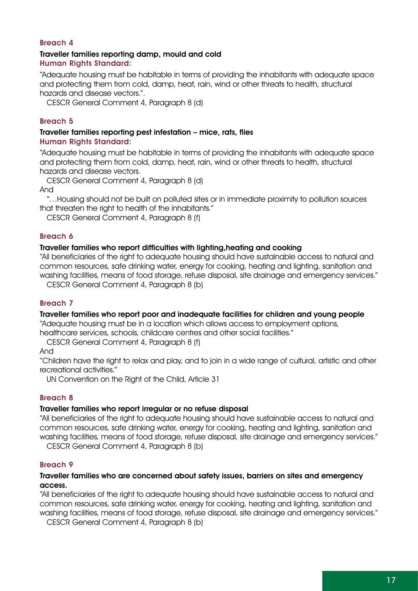### Breach 4

#### Traveller families reporting damp, mould and cold Human Rights Standard:

"Adequate housing must be habitable in terms of providing the inhabitants with adequate space and protecting them from cold, damp, heat, rain, wind or other threats to health, structural hazards and disease vectors.".

CESCR General Comment 4, Paragraph 8 (d)

### Breach 5

#### Traveller families reporting pest infestation – mice, rats, flies Human Rights Standard:

"Adequate housing must be habitable in terms of providing the inhabitants with adequate space and protecting them from cold, damp, heat, rain, wind or other threats to health, structural hazards and disease vectors.

CESCR General Comment 4, Paragraph 8 (d)

And

"…Housing should not be built on polluted sites or in immediate proximity to pollution sources that threaten the right to health of the inhabitants."

CESCR General Comment 4, Paragraph 8 (f)

#### Breach 6

#### Traveller families who report difficulties with lighting,heating and cooking

"All beneficiaries of the right to adequate housing should have sustainable access to natural and common resources, safe drinking water, energy for cooking, heating and lighting, sanitation and washing facilities, means of food storage, refuse disposal, site drainage and emergency services."

CESCR General Comment 4, Paragraph 8 (b)

#### Breach 7

#### Traveller families who report poor and inadequate facilities for children and young people

"Adequate housing must be in a location which allows access to employment options,

healthcare services, schools, childcare centres and other social facilities."

CESCR General Comment 4, Paragraph 8 (f)

And

"Children have the right to relax and play, and to join in a wide range of cultural, artistic and other recreational activities."

UN Convention on the Right of the Child, Article 31

#### Breach 8

#### Traveller families who report irregular or no refuse disposal

"All beneficiaries of the right to adequate housing should have sustainable access to natural and common resources, safe drinking water, energy for cooking, heating and lighting, sanitation and washing facilities, means of food storage, refuse disposal, site drainage and emergency services." CESCR General Comment 4, Paragraph 8 (b)

### Breach 9

#### Traveller families who are concerned about safety issues, barriers on sites and emergency access.

"All beneficiaries of the right to adequate housing should have sustainable access to natural and common resources, safe drinking water, energy for cooking, heating and lighting, sanitation and washing facilities, means of food storage, refuse disposal, site drainage and emergency services."

CESCR General Comment 4, Paragraph 8 (b)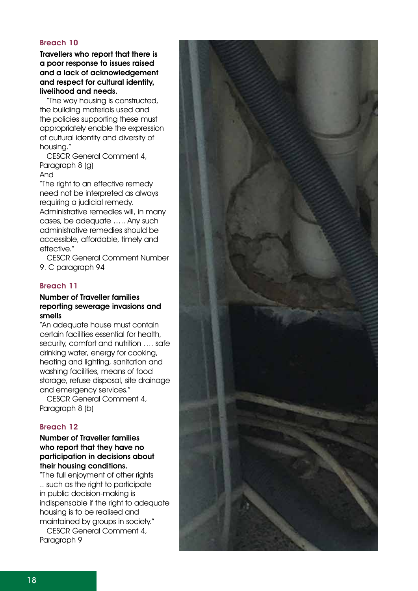### Breach 10

Travellers who report that there is a poor response to issues raised and a lack of acknowledgement and respect for cultural identity, livelihood and needs.

"The way housing is constructed, the building materials used and the policies supporting these must appropriately enable the expression of cultural identity and diversity of housing."

CESCR General Comment 4, Paragraph 8 (g)

And

"The right to an effective remedy need not be interpreted as always requiring a judicial remedy. Administrative remedies will, in many cases, be adequate ….. Any such administrative remedies should be accessible, affordable, timely and effective."

CESCR General Comment Number 9. C paragraph 94

### Breach 11

### Number of Traveller families reporting sewerage invasions and smells

"An adequate house must contain certain facilities essential for health, security, comfort and nutrition …. safe drinking water, energy for cooking, heating and lighting, sanitation and washing facilities, means of food storage, refuse disposal, site drainage and emergency services."

CESCR General Comment 4, Paragraph 8 (b)

### Breach 12

### Number of Traveller families who report that they have no participation in decisions about their housing conditions.

"The full enjoyment of other rights .. such as the right to participate in public decision-making is indispensable if the right to adequate housing is to be realised and maintained by groups in society."

CESCR General Comment 4, Paragraph 9

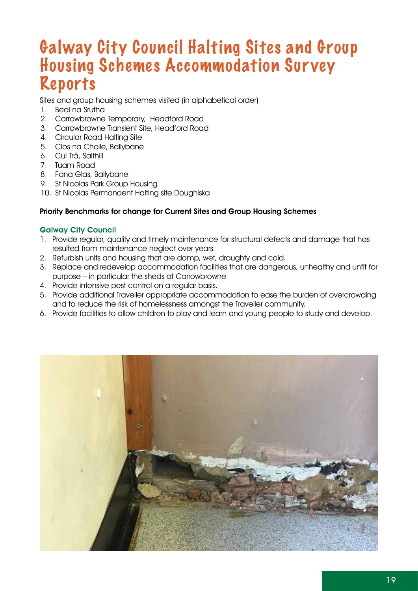# Galway City Council Halting Sites and Group Housing Schemes Accommodation Sur vey Reports

Sites and group housing schemes visited (in alphabetical order)

- 1. Beal na Srutha
- 2. Carrowbrowne Temporary, Headford Road
- 3. Carrowbrowne Transient Site, Headford Road
- 4. Circular Road Halting Site
- 5. Clos na Choile, Ballybane
- 6. Cul Trá, Salthill
- 7. Tuam Road
- 8. Fana Glas, Ballybane
- 9. St Nicolas Park Group Housing
- 10. St Nicolas Permanaent Halting site Doughiska

### Priority Benchmarks for change for Current Sites and Group Housing Schemes

### Galway City Council

- 1. Provide regular, quality and timely maintenance for structural defects and damage that has resulted from maintenance neglect over years.
- 2. Refurbish units and housing that are damp, wet, draughty and cold.
- 3. Replace and redevelop accommodation facilities that are dangerous, unhealthy and unfit for purpose – in particular the sheds at Carrowbrowne.
- 4. Provide intensive pest control on a regular basis.
- 5. Provide additional Traveller appropriate accommodation to ease the burden of overcrowding and to reduce the risk of homelessness amongst the Traveller community.
- 6. Provide facilities to allow children to play and learn and young people to study and develop.

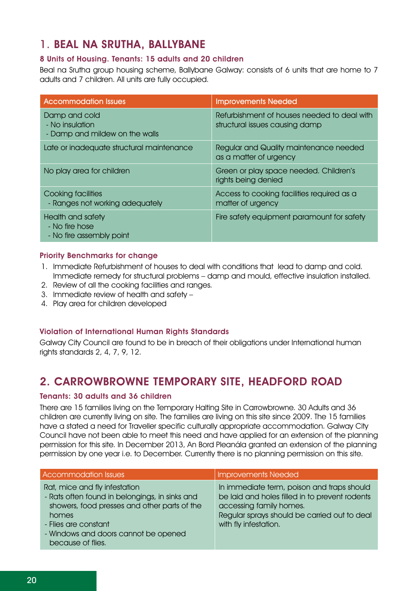### 1. Beal na Srutha, Ballybane

### 8 Units of Housing. Tenants: 15 adults and 20 children

Beal na Srutha group housing scheme, Ballybane Galway: consists of 6 units that are home to 7 adults and 7 children. All units are fully occupied.

| <b>Accommodation Issues</b>                                        | <b>Improvements Needed</b>                                                    |
|--------------------------------------------------------------------|-------------------------------------------------------------------------------|
| Damp and cold<br>- No insulation<br>- Damp and mildew on the walls | Refurbishment of houses needed to deal with<br>structural issues causing damp |
| Late or inadequate structural maintenance                          | Regular and Quality maintenance needed<br>as a matter of urgency              |
| No play area for children                                          | Green or play space needed. Children's<br>rights being denied                 |
| Cooking facilities<br>- Ranges not working adequately              | Access to cooking facilities required as a<br>matter of urgency               |
| Health and safety<br>- No fire hose<br>- No fire assembly point    | Fire safety equipment paramount for safety                                    |

### Priority Benchmarks for change

- 1. Immediate Refurbishment of houses to deal with conditions that lead to damp and cold. Immediate remedy for structural problems – damp and mould, effective insulation installed.
- 2. Review of all the cooking facilities and ranges.
- 3. Immediate review of health and safety –
- 4. Play area for children developed

### Violation of International Human Rights Standards

Galway City Council are found to be in breach of their obligations under International human rights standards 2, 4, 7, 9, 12.

### 2. Carrowbrowne Temporary site, Headford road

### Tenants: 30 adults and 36 children

There are 15 families living on the Temporary Halting Site in Carrowbrowne. 30 Adults and 36 children are currently living on site. The families are living on this site since 2009. The 15 families have a stated a need for Traveller specific culturally appropriate accommodation. Galway City Council have not been able to meet this need and have applied for an extension of the planning permission for this site. In December 2013, An Bord Pleanála granted an extension of the planning permission by one year i.e. to December. Currently there is no planning permission on this site.

| <b>Accommodation Issues</b>                                                                                                                                                                                                   | <b>Improvements Needed</b>                                                                                                                                                                       |
|-------------------------------------------------------------------------------------------------------------------------------------------------------------------------------------------------------------------------------|--------------------------------------------------------------------------------------------------------------------------------------------------------------------------------------------------|
| Rat, mice and fly infestation<br>- Rats often found in belongings, in sinks and<br>showers, food presses and other parts of the<br>homes<br>- Flies are constant<br>- Windows and doors cannot be opened<br>because of flies. | In immediate term, poison and traps should<br>be laid and holes filled in to prevent rodents<br>accessing family homes.<br>Regular sprays should be carried out to deal<br>with fly infestation. |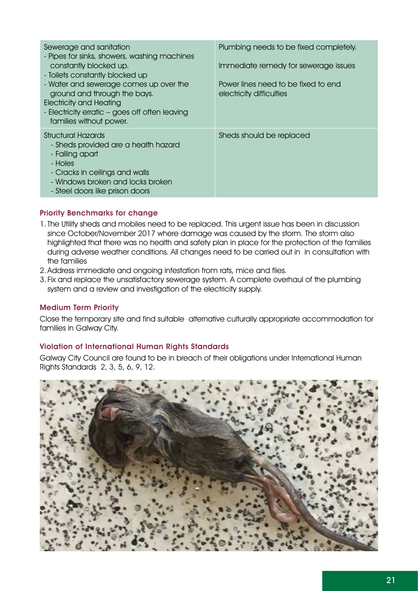| Sewerage and sanitation<br>- Pipes for sinks, showers, washing machines<br>constantly blocked up.<br>- Toilets constantly blocked up<br>- Water and sewerage comes up over the<br>ground and through the bays.<br><b>Electricity and Heating</b><br>- Electricity erratic – goes off often leaving<br>families without power. | Plumbing needs to be fixed completely.<br>Immediate remedy for sewerage issues<br>Power lines need to be fixed to end<br>electricity difficulties |
|-------------------------------------------------------------------------------------------------------------------------------------------------------------------------------------------------------------------------------------------------------------------------------------------------------------------------------|---------------------------------------------------------------------------------------------------------------------------------------------------|
| Structural Hazards<br>- Sheds provided are a health hazard<br>- Falling apart<br>- Holes<br>- Cracks in ceilings and walls<br>- Windows broken and locks broken<br>- Steel doors like prison doors                                                                                                                            | Sheds should be replaced                                                                                                                          |

### Priority Benchmarks for change

- 1.The Utility sheds and mobiles need to be replaced. This urgent issue has been in discussion since October/November 2017 where damage was caused by the storm. The storm also highlighted that there was no health and safety plan in place for the protection of the families during adverse weather conditions. All changes need to be carried out in in consultation with the families
- 2. Address immediate and ongoing infestation from rats, mice and flies.
- 3. Fix and replace the unsatisfactory sewerage system. A complete overhaul of the plumbing system and a review and investigation of the electricity supply.

### Medium Term Priority

Close the temporary site and find suitable alternative culturally appropriate accommodation for families in Galway City.

### Violation of International Human Rights Standards

Galway City Council are found to be in breach of their obligations under International Human Rights Standards 2, 3, 5, 6, 9, 12.

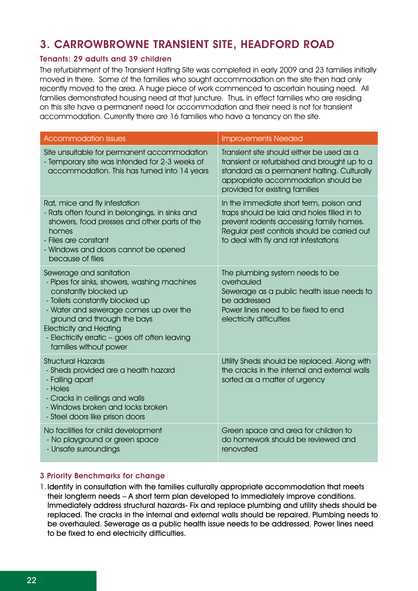### 3. Carrowbrowne Transient Site, Headford Road

### Tenants: 29 adults and 39 children

The refurbishment of the Transient Halting Site was completed in early 2009 and 23 families initially moved in there. Some of the families who sought accommodation on the site then had only recently moved to the area. A huge piece of work commenced to ascertain housing need. All families demonstrated housing need at that juncture. Thus, in effect families who are residing on this site have a permanent need for accommodation and their need is not for transient accommodation. Currently there are 16 families who have a tenancy on the site.

| <b>Accommodation Issues</b>                                                                                                                                                                                                                                                                                                | <b>Improvements Needed</b>                                                                                                                                                                                                |
|----------------------------------------------------------------------------------------------------------------------------------------------------------------------------------------------------------------------------------------------------------------------------------------------------------------------------|---------------------------------------------------------------------------------------------------------------------------------------------------------------------------------------------------------------------------|
| Site unsuitable for permanent accommodation<br>- Temporary site was intended for 2-3 weeks of<br>accommodation. This has turned into 14 years                                                                                                                                                                              | Transient site should either be used as a<br>transient or refurbished and brought up to a<br>standard as a permanent halting. Culturally<br>appropriate accommodation should be<br>provided for existing families         |
| Rat, mice and fly infestation<br>- Rats often found in belongings, in sinks and<br>showers, food presses and other parts of the<br>homes<br>- Flies are constant<br>- Windows and doors cannot be opened<br>because of flies                                                                                               | In the immediate short term, poison and<br>traps should be laid and holes filled in to<br>prevent rodents accessing family homes.<br>Regular pest controls should be carried out<br>to deal with fly and rat infestations |
| Sewerage and sanitation<br>- Pipes for sinks, showers, washing machines<br>constantly blocked up<br>- Toilets constantly blocked up<br>- Water and sewerage comes up over the<br>ground and through the bays<br><b>Electricity and Heating</b><br>- Electricity erratic - goes off often leaving<br>families without power | The plumbing system needs to be<br>overhauled<br>Sewerage as a public health issue needs to<br>be addressed<br>Power lines need to be fixed to end<br>electricity difficulties                                            |
| <b>Structural Hazards</b><br>- Sheds provided are a health hazard<br>- Falling apart<br>- Holes<br>- Cracks in ceilings and walls<br>- Windows broken and locks broken<br>- Steel doors like prison doors                                                                                                                  | Utility Sheds should be replaced. Along with<br>the cracks in the internal and external walls<br>sorted as a matter of urgency                                                                                            |
| No facilities for child development<br>- No playground or green space<br>- Unsafe surroundings                                                                                                                                                                                                                             | Green space and area for children to<br>do homework should be reviewed and<br>renovated                                                                                                                                   |

### 3 Priority Benchmarks for change

1. Identify in consultation with the families culturally appropriate accommodation that meets their longterm needs – A short term plan developed to immediately improve conditions. Immediately address structural hazards- Fix and replace plumbing and utility sheds should be replaced. The cracks in the internal and external walls should be repaired. Plumbing needs to be overhauled. Sewerage as a public health issue needs to be addressed. Power lines need to be fixed to end electricity difficulties.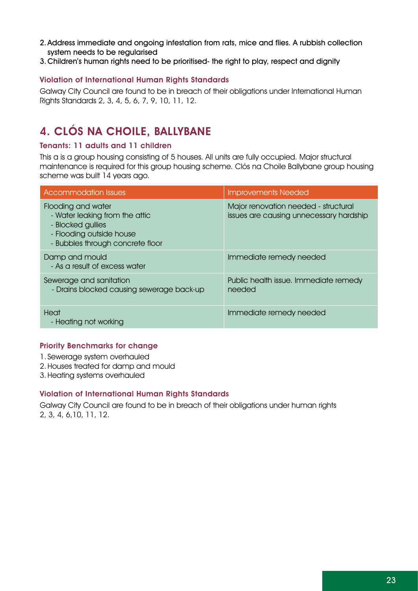- 2.Address immediate and ongoing infestation from rats, mice and flies. A rubbish collection system needs to be regularised
- 3.Children's human rights need to be prioritised- the right to play, respect and dignity

### Violation of International Human Rights Standards

Galway City Council are found to be in breach of their obligations under International Human Rights Standards 2, 3, 4, 5, 6, 7, 9, 10, 11, 12.

### 4. Clós na Choile, Ballybane

### Tenants: 11 adults and 11 children

This a is a group housing consisting of 5 houses. All units are fully occupied. Major structural maintenance is required for this group housing scheme. Clós na Choile Ballybane group housing scheme was built 14 years ago.

| <b>Accommodation Issues</b>                                                                                                               | <b>Improvements Needed</b>                                                      |
|-------------------------------------------------------------------------------------------------------------------------------------------|---------------------------------------------------------------------------------|
| Flooding and water<br>- Water leaking from the attic<br>- Blocked gullies<br>- Flooding outside house<br>- Bubbles through concrete floor | Major renovation needed - structural<br>issues are causing unnecessary hardship |
| Damp and mould<br>- As a result of excess water                                                                                           | Immediate remedy needed                                                         |
| Sewerage and sanitation<br>- Drains blocked causing sewerage back-up                                                                      | Public health issue. Immediate remedy<br>needed                                 |
| Heat<br>- Heating not working                                                                                                             | Immediate remedy needed                                                         |

### Priority Benchmarks for change

- 1. Sewerage system overhauled
- 2. Houses treated for damp and mould
- 3. Heating systems overhauled

### Violation of International Human Rights Standards

Galway City Council are found to be in breach of their obligations under human rights 2, 3, 4, 6,10, 11, 12.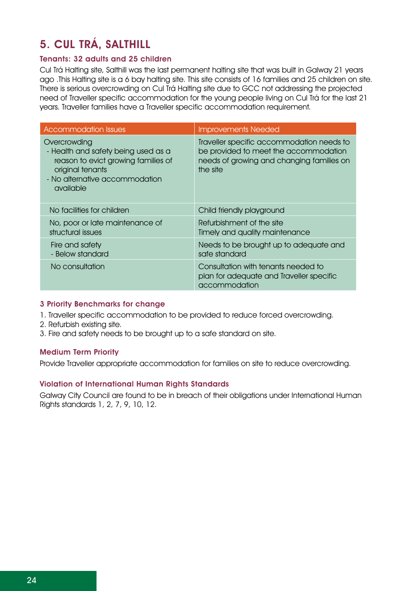### 5. Cul Trá, Salthill

### Tenants: 32 adults and 25 children

Cul Trá Halting site, Salthill was the last permanent halting site that was built in Galway 21 years ago .This Halting site is a 6 bay halting site. This site consists of 16 families and 25 children on site. There is serious overcrowding on Cul Trá Halting site due to GCC not addressing the projected need of Traveller specific accommodation for the young people living on Cul Trá for the last 21 years. Traveller families have a Traveller specific accommodation requirement.

| <b>Accommodation Issues</b>                                                                                                                                   | <b>Improvements Needed</b>                                                                                                                  |
|---------------------------------------------------------------------------------------------------------------------------------------------------------------|---------------------------------------------------------------------------------------------------------------------------------------------|
| Overcrowding<br>- Health and safety being used as a<br>reason to evict growing families of<br>original tenants<br>- No alternative accommodation<br>available | Traveller specific accommodation needs to<br>be provided to meet the accommodation<br>needs of growing and changing families on<br>the site |
| No facilities for children                                                                                                                                    | Child friendly playground                                                                                                                   |
| No, poor or late maintenance of<br>structural issues                                                                                                          | Refurbishment of the site<br>Timely and quality maintenance                                                                                 |
| Fire and safety<br>- Below standard                                                                                                                           | Needs to be brought up to adequate and<br>safe standard                                                                                     |
| No consultation                                                                                                                                               | Consultation with tenants needed to<br>plan for adequate and Traveller specific<br>accommodation                                            |

### 3 Priority Benchmarks for change

- 1. Traveller specific accommodation to be provided to reduce forced overcrowding.
- 2. Refurbish existing site.
- 3. Fire and safety needs to be brought up to a safe standard on site.

### Medium Term Priority

Provide Traveller appropriate accommodation for families on site to reduce overcrowding.

### Violation of International Human Rights Standards

Galway City Council are found to be in breach of their obligations under International Human Rights standards 1, 2, 7, 9, 10, 12.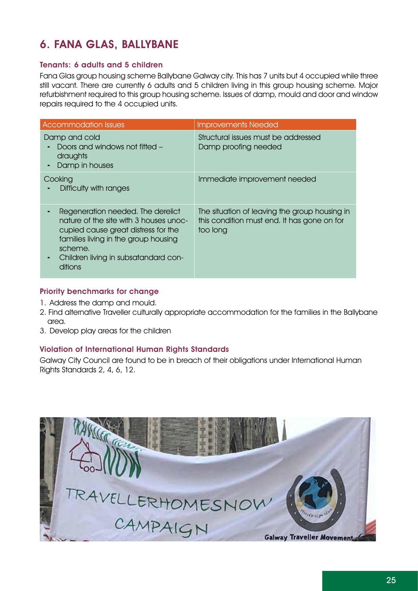### 6. Fana Glas, Ballybane

### Tenants: 6 adults and 5 children

Fana Glas group housing scheme Ballybane Galway city. This has 7 units but 4 occupied while three still vacant. There are currently 6 adults and 5 children living in this group housing scheme. Major refurbishment required to this group housing scheme. Issues of damp, mould and door and window repairs required to the 4 occupied units.

| <b>Accommodation Issues</b>                                                                                                                                                                                              | <b>Improvements Needed</b>                                                                               |
|--------------------------------------------------------------------------------------------------------------------------------------------------------------------------------------------------------------------------|----------------------------------------------------------------------------------------------------------|
| Damp and cold<br>Doors and windows not fitted –<br>draughts<br>Damp in houses                                                                                                                                            | Structural issues must be addressed<br>Damp proofing needed                                              |
| Cooking<br>Difficulty with ranges                                                                                                                                                                                        | Immediate improvement needed                                                                             |
| Regeneration needed. The derelict<br>nature of the site with 3 houses unoc-<br>cupied cause great distress for the<br>families living in the group housing<br>scheme.<br>Children living in subsatandard con-<br>ditions | The situation of leaving the group housing in<br>this condition must end. It has gone on for<br>too long |

### Priority benchmarks for change

- 1. Address the damp and mould.
- 2. Find alternative Traveller culturally appropriate accommodation for the families in the Ballybane area.
- 3. Develop play areas for the children

### Violation of International Human Rights Standards

Galway City Council are found to be in breach of their obligations under International Human Rights Standards 2, 4, 6, 12.

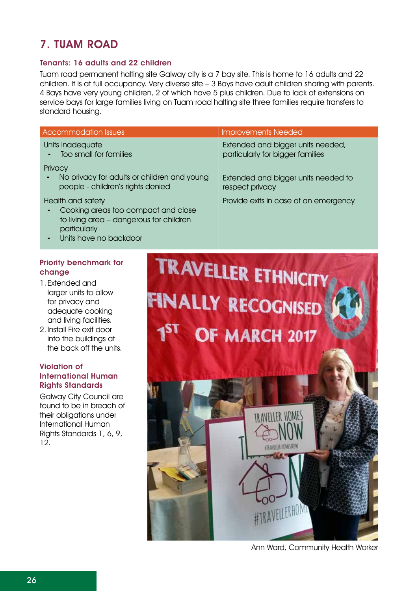### 7. Tuam Road

### Tenants: 16 adults and 22 children

Tuam road permanent halting site Galway city is a 7 bay site. This is home to 16 adults and 22 children. It is at full occupancy. Very diverse site – 3 Bays have adult children sharing with parents. 4 Bays have very young children, 2 of which have 5 plus children. Due to lack of extensions on service bays for large families living on Tuam road halting site three families require transfers to standard housing.

| <b>Accommodation Issues</b>                                                                                                                   | <b>Improvements Needed</b>                                            |
|-----------------------------------------------------------------------------------------------------------------------------------------------|-----------------------------------------------------------------------|
| Units inadequate<br>Too small for families                                                                                                    | Extended and bigger units needed,<br>particularly for bigger families |
| Privacy<br>No privacy for adults or children and young<br>people - children's rights denied                                                   | Extended and bigger units needed to<br>respect privacy                |
| Health and safety<br>Cooking areas too compact and close<br>to living area - dangerous for children<br>particularly<br>Units have no backdoor | Provide exits in case of an emergency                                 |

### Priority benchmark for change

- 1. Extended and larger units to allow for privacy and adequate cooking and living facilities.
- 2. Install Fire exit door into the buildings at the back off the units.

### Violation of International Human Rights Standards

Galway City Council are found to be in breach of their obligations under International Human Rights Standards 1, 6, 9, 12.



Ann Ward, Community Health Worker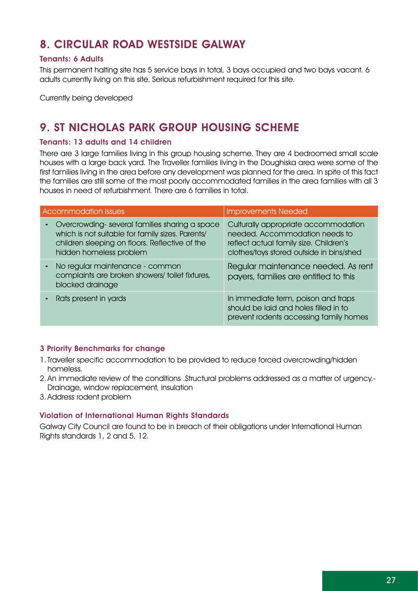### 8. Circular road westside Galway

### Tenants: 6 Adults

This permanent halting site has 5 service bays in total, 3 bays occupied and two bays vacant. 6 adults currently living on this site. Serious refurbishment required for this site.

Currently being developed

### 9. St Nicholas park Group housing scheme

### Tenants: 13 adults and 14 children

There are 3 large families living in this group housing scheme. They are 4 bedroomed small scale houses with a large back yard. The Traveller families living in the Doughiska area were some of the first families living in the area before any development was planned for the area. In spite of this fact the families are still some of the most poorly accommodated families in the area families with all 3 houses in need of refurbishment. There are 6 families in total.

| <b>Accommodation Issues</b>                                                                                                                                                    | <b>Improvements Needed</b>                                                                                                                                   |
|--------------------------------------------------------------------------------------------------------------------------------------------------------------------------------|--------------------------------------------------------------------------------------------------------------------------------------------------------------|
| Overcrowding-several families sharing a space<br>which is not suitable for family sizes. Parents/<br>children sleeping on floors. Reflective of the<br>hidden homeless problem | Culturally appropriate accommodation<br>needed. Accommodation needs to<br>reflect actual family size. Children's<br>clothes/toys stored outside in bins/shed |
| No regular maintenance - common<br>complaints are broken showers/toilet fixtures,<br>blocked drainage                                                                          | Regular maintenance needed. As rent<br>payers, families are entitled to this                                                                                 |
| Rats present in yards                                                                                                                                                          | In immediate term, poison and traps<br>should be laid and holes filled in to<br>prevent rodents accessing family homes                                       |

### 3 Priority Benchmarks for change

- 1.Traveller specific accommodation to be provided to reduce forced overcrowding/hidden homeless.
- 2. An immediate review of the conditions .Structural problems addressed as a matter of urgency.- Drainage, window replacement, insulation
- 3. Address rodent problem

### Violation of International Human Rights Standards

Galway City Council are found to be in breach of their obligations under International Human Rights standards 1, 2 and 5, 12.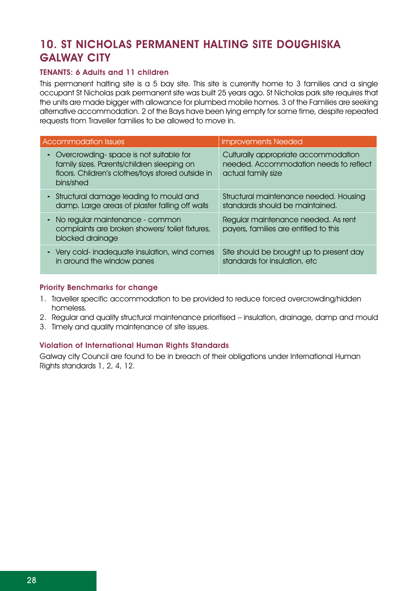### 10. St Nicholas Permanent Halting site Doughiska **GALWAY CITY**

### TENANTS: 6 Adults and 11 children

This permanent halting site is a 5 bay site. This site is currently home to 3 families and a single occupant St Nicholas park permanent site was built 25 years ago. St Nicholas park site requires that the units are made bigger with allowance for plumbed mobile homes. 3 of the Families are seeking alternative accommodation. 2 of the Bays have been lying empty for some time, despite repeated requests from Traveller families to be allowed to move in.

| Accommodation Issues                                                                                                                                     | <b>Improvements Needed</b>                                                                           |
|----------------------------------------------------------------------------------------------------------------------------------------------------------|------------------------------------------------------------------------------------------------------|
| - Overcrowding-space is not suitable for<br>family sizes. Parents/children sleeping on<br>floors. Children's clothes/toys stored outside in<br>bins/shed | Culturally appropriate accommodation<br>needed. Accommodation needs to reflect<br>actual family size |
| - Structural damage leading to mould and<br>damp. Large areas of plaster falling off walls                                                               | Structural maintenance needed. Housing<br>standards should be maintained.                            |
| - No regular maintenance - common<br>complaints are broken showers/toilet fixtures,<br>blocked drainage                                                  | Regular maintenance needed. As rent<br>payers, families are entitled to this                         |
| - Very cold-inadequate insulation, wind comes<br>in around the window panes                                                                              | Site should be brought up to present day<br>standards for insulation, etc.                           |

### Priority Benchmarks for change

- 1. Traveller specific accommodation to be provided to reduce forced overcrowding/hidden homeless.
- 2. Regular and quality structural maintenance prioritised insulation, drainage, damp and mould
- 3. Timely and quality maintenance of site issues.

### Violation of International Human Rights Standards

Galway city Council are found to be in breach of their obligations under International Human Rights standards 1, 2, 4, 12.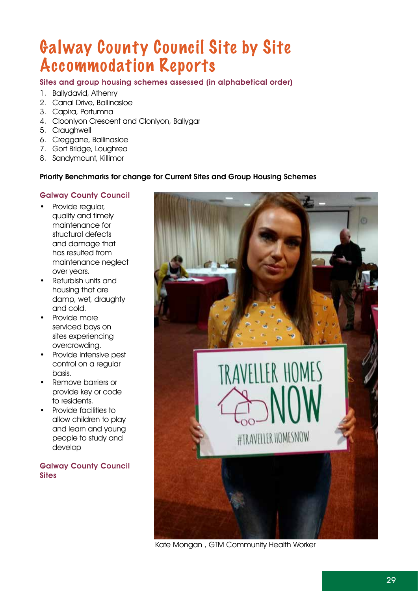# Galway County Council Site by Site Accommodation Reports

### Sites and group housing schemes assessed (in alphabetical order)

- 1. Ballydavid, Athenry
- 2. Canal Drive, Ballinasloe
- 3. Capira, Portumna
- 4. Cloonlyon Crescent and Clonlyon, Ballygar
- 5. Craughwell
- 6. Creggane, Ballinasloe
- 7. Gort Bridge, Loughrea
- 8. Sandymount, Killimor

### Priority Benchmarks for change for Current Sites and Group Housing Schemes

### Galway County Council

- Provide regular, quality and timely maintenance for structural defects and damage that has resulted from maintenance neglect over years.
- • Refurbish units and housing that are damp, wet, draughty and cold.
- • Provide more serviced bays on sites experiencing overcrowding.
- Provide intensive pest control on a regular basis.
- Remove barriers or provide key or code to residents.
- • Provide facilities to allow children to play and learn and young people to study and develop

Galway County Council **Sites** 



Kate Mongan , GTM Community Health Worker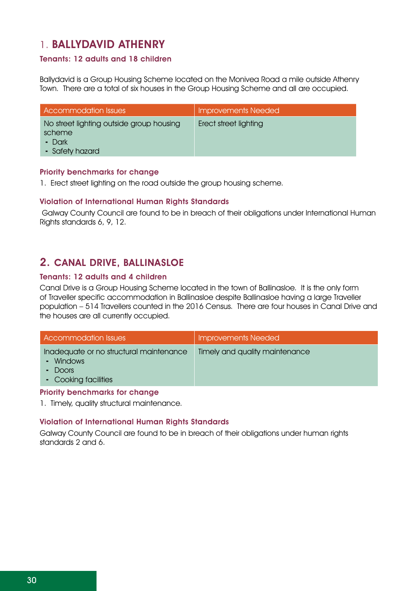### 1. Ballydavid Athenry

### Tenants: 12 adults and 18 children

Ballydavid is a Group Housing Scheme located on the Monivea Road a mile outside Athenry Town. There are a total of six houses in the Group Housing Scheme and all are occupied.

| Accommodation Issues                                                            | <b>Improvements Needed</b> |
|---------------------------------------------------------------------------------|----------------------------|
| No street lighting outside group housing<br>scheme<br>- Dark<br>- Safety hazard | Erect street lighting      |

### Priority benchmarks for change

1. Erect street lighting on the road outside the group housing scheme.

### Violation of International Human Rights Standards

 Galway County Council are found to be in breach of their obligations under International Human Rights standards 6, 9, 12.

### 2. Canal Drive, Ballinasloe

### Tenants: 12 adults and 4 children

Canal Drive is a Group Housing Scheme located in the town of Ballinasloe. It is the only form of Traveller specific accommodation in Ballinasloe despite Ballinasloe having a large Traveller population – 514 Travellers counted in the 2016 Census. There are four houses in Canal Drive and the houses are all currently occupied.

| Accommodation Issues                                                                                           | <b>Improvements Needed</b>     |
|----------------------------------------------------------------------------------------------------------------|--------------------------------|
| Inadequate or no structural maintenance<br>- Windows<br>$\overline{\phantom{a}}$ Doors<br>- Cooking facilities | Timely and quality maintenance |

### Priority benchmarks for change

1. Timely, quality structural maintenance.

### Violation of International Human Rights Standards

Galway County Council are found to be in breach of their obligations under human rights standards 2 and 6.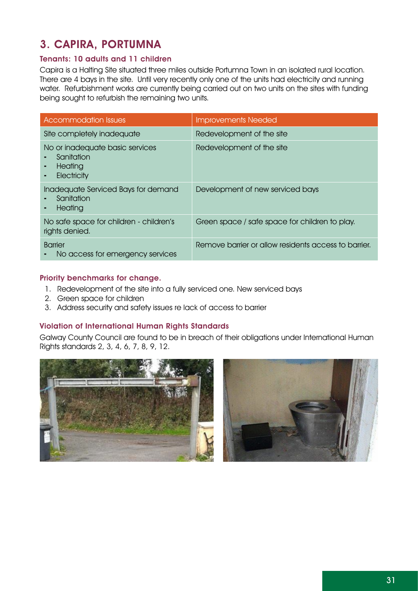### 3. Capira, Portumna

### Tenants: 10 adults and 11 children

Capira is a Halting Site situated three miles outside Portumna Town in an isolated rural location. There are 4 bays in the site. Until very recently only one of the units had electricity and running water. Refurbishment works are currently being carried out on two units on the sites with funding being sought to refurbish the remaining two units.

| <b>Accommodation Issues</b>                                             | <b>Improvements Needed</b>                           |
|-------------------------------------------------------------------------|------------------------------------------------------|
| Site completely inadequate                                              | Redevelopment of the site                            |
| No or inadequate basic services<br>Sanitation<br>Heating<br>Electricity | Redevelopment of the site                            |
| Inadequate Serviced Bays for demand<br>Sanitation<br>Heating<br>۰       | Development of new serviced bays                     |
| No safe space for children - children's<br>rights denied.               | Green space / safe space for children to play.       |
| <b>Barrier</b><br>No access for emergency services                      | Remove barrier or allow residents access to barrier. |

### Priority benchmarks for change.

- 1. Redevelopment of the site into a fully serviced one. New serviced bays
- 2. Green space for children
- 3. Address security and safety issues re lack of access to barrier

### Violation of International Human Rights Standards

Galway County Council are found to be in breach of their obligations under International Human Rights standards 2, 3, 4, 6, 7, 8, 9, 12.



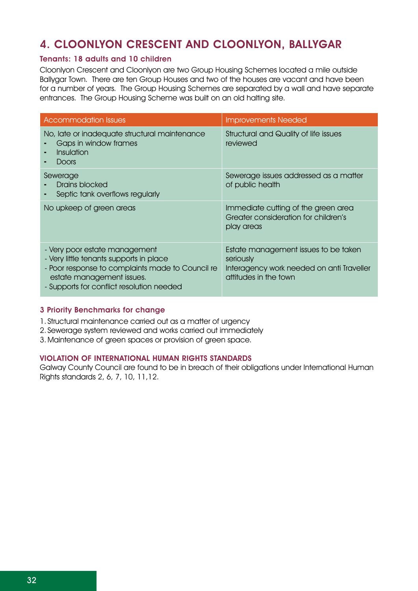### 4. Cloonlyon Crescent and Cloonlyon, Ballygar

### Tenants: 18 adults and 10 children

Cloonlyon Crescent and Cloonlyon are two Group Housing Schemes located a mile outside Ballygar Town. There are ten Group Houses and two of the houses are vacant and have been for a number of years. The Group Housing Schemes are separated by a wall and have separate entrances. The Group Housing Scheme was built on an old halting site.

| <b>Accommodation Issues</b>                                                                                                                                                                            | <b>Improvements Needed</b>                                                                                              |
|--------------------------------------------------------------------------------------------------------------------------------------------------------------------------------------------------------|-------------------------------------------------------------------------------------------------------------------------|
| No, late or inadequate structural maintenance<br>Gaps in window frames<br>Insulation<br>Doors                                                                                                          | <b>Structural and Quality of life issues</b><br>reviewed                                                                |
| Sewerage<br>Drains blocked<br>Septic tank overflows regularly                                                                                                                                          | Sewerage issues addressed as a matter<br>of public health                                                               |
| No upkeep of green areas                                                                                                                                                                               | Immediate cutting of the green area<br>Greater consideration for children's<br>play areas                               |
| - Very poor estate management<br>- Very little tenants supports in place<br>- Poor response to complaints made to Council re<br>estate management issues.<br>- Supports for conflict resolution needed | Estate management issues to be taken<br>seriously<br>Interagency work needed on anti Traveller<br>attitudes in the town |

### 3 Priority Benchmarks for change

- 1. Structural maintenance carried out as a matter of urgency
- 2. Sewerage system reviewed and works carried out immediately
- 3. Maintenance of green spaces or provision of green space.

#### Violation of International Human Rights Standards

Galway County Council are found to be in breach of their obligations under International Human Rights standards 2, 6, 7, 10, 11,12.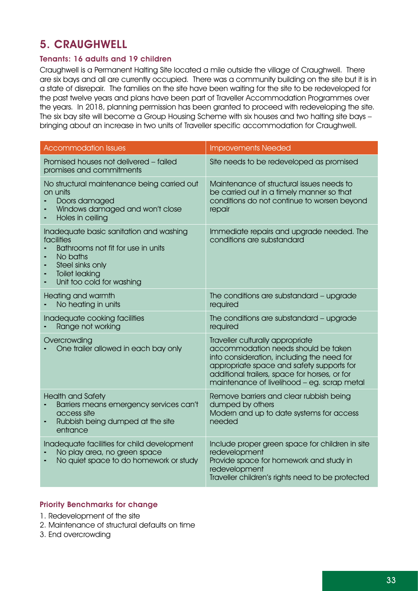### 5. Craughwell

### Tenants: 16 adults and 19 children

Craughwell is a Permanent Halting Site located a mile outside the village of Craughwell. There are six bays and all are currently occupied. There was a community building on the site but it is in a state of disrepair. The families on the site have been waiting for the site to be redeveloped for the past twelve years and plans have been part of Traveller Accommodation Programmes over the years. In 2018, planning permission has been granted to proceed with redeveloping the site. The six bay site will become a Group Housing Scheme with six houses and two halting site bays – bringing about an increase in two units of Traveller specific accommodation for Craughwell.

| <b>Accommodation Issues</b>                                                                                                                                                       | <b>Improvements Needed</b>                                                                                                                                                                                                                                         |
|-----------------------------------------------------------------------------------------------------------------------------------------------------------------------------------|--------------------------------------------------------------------------------------------------------------------------------------------------------------------------------------------------------------------------------------------------------------------|
| Promised houses not delivered - failed<br>promises and commitments                                                                                                                | Site needs to be redeveloped as promised                                                                                                                                                                                                                           |
| No structural maintenance being carried out<br>on units<br>Doors damaged<br>Windows damaged and won't close<br>Holes in ceiling                                                   | Maintenance of structural issues needs to<br>be carried out in a timely manner so that<br>conditions do not continue to worsen beyond<br>repair                                                                                                                    |
| Inadequate basic sanitation and washing<br>facilities<br>Bathrooms not fit for use in units<br>No baths<br>Steel sinks only<br><b>Toilet leaking</b><br>Unit too cold for washing | Immediate repairs and upgrade needed. The<br>conditions are substandard                                                                                                                                                                                            |
| Heating and warmth<br>No heating in units                                                                                                                                         | The conditions are substandard - upgrade<br>required                                                                                                                                                                                                               |
| Inadequate cooking facilities<br>Range not working                                                                                                                                | The conditions are substandard - upgrade<br>required                                                                                                                                                                                                               |
| Overcrowding<br>One trailer allowed in each bay only                                                                                                                              | Traveller culturally appropriate<br>accommodation needs should be taken<br>into consideration, including the need for<br>appropriate space and safety supports for<br>additional trailers, space for horses, or for<br>maintenance of livelihood - eg. scrap metal |
| <b>Health and Safety</b><br>Barriers means emergency services can't<br>access site<br>Rubbish being dumped at the site<br>entrance                                                | Remove barriers and clear rubbish being<br>dumped by others<br>Modern and up to date systems for access<br>needed                                                                                                                                                  |
| Inadequate facilities for child development<br>No play area, no green space<br>No quiet space to do homework or study                                                             | Include proper green space for children in site<br>redevelopment<br>Provide space for homework and study in<br>redevelopment<br>Traveller children's rights need to be protected                                                                                   |

### Priority Benchmarks for change

- 1. Redevelopment of the site
- 2. Maintenance of structural defaults on time
- 3. End overcrowding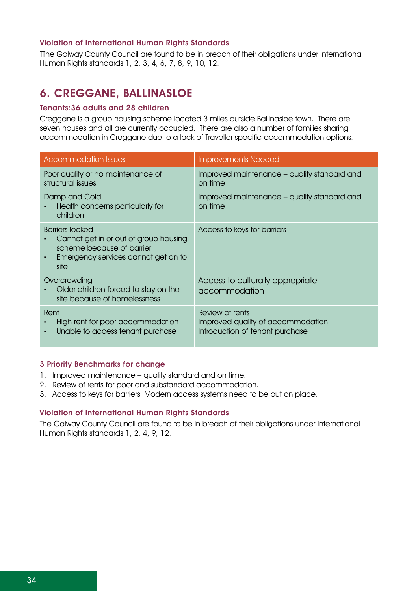### Violation of International Human Rights Standards

TThe Galway County Council are found to be in breach of their obligations under International Human Rights standards 1, 2, 3, 4, 6, 7, 8, 9, 10, 12.

### 6. Creggane, Ballinasloe

### Tenants:36 adults and 28 children

Creggane is a group housing scheme located 3 miles outside Ballinasloe town. There are seven houses and all are currently occupied. There are also a number of families sharing accommodation in Creggane due to a lack of Traveller specific accommodation options.

| <b>Accommodation Issues</b>                                                                                                                 | <b>Improvements Needed</b>                                                              |
|---------------------------------------------------------------------------------------------------------------------------------------------|-----------------------------------------------------------------------------------------|
| Poor quality or no maintenance of<br>structural issues                                                                                      | Improved maintenance – quality standard and<br>on time                                  |
| Damp and Cold<br>Health concerns particularly for<br>children                                                                               | Improved maintenance – quality standard and<br>on time                                  |
| <b>Barriers locked</b><br>Cannot get in or out of group housing<br>scheme because of barrier<br>Emergency services cannot get on to<br>site | Access to keys for barriers                                                             |
| Overcrowding<br>Older children forced to stay on the<br>site because of homelessness                                                        | Access to culturally appropriate<br>accommodation                                       |
| Rent<br>High rent for poor accommodation<br>Unable to access tenant purchase                                                                | Review of rents<br>Improved quality of accommodation<br>Introduction of tenant purchase |

#### 3 Priority Benchmarks for change

- 1. Improved maintenance quality standard and on time.
- 2. Review of rents for poor and substandard accommodation.
- 3. Access to keys for barriers. Modern access systems need to be put on place.

### Violation of International Human Rights Standards

The Galway County Council are found to be in breach of their obligations under International Human Rights standards 1, 2, 4, 9, 12.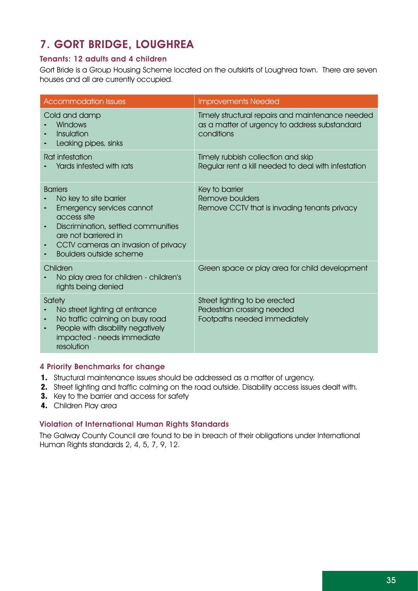### 7. Gort Bridge, Loughrea

### Tenants: 12 adults and 4 children

Gort Bride is a Group Housing Scheme located on the outskirts of Loughrea town. There are seven houses and all are currently occupied.

| <b>Accommodation Issues</b>                                                                                                                                                                                                        | <b>Improvements Needed</b>                                                                                      |
|------------------------------------------------------------------------------------------------------------------------------------------------------------------------------------------------------------------------------------|-----------------------------------------------------------------------------------------------------------------|
| Cold and damp<br>Windows<br>Insulation<br>Leaking pipes, sinks                                                                                                                                                                     | Timely structural repairs and maintenance needed<br>as a matter of urgency to address substandard<br>conditions |
| Rat infestation<br>Yards infested with rats                                                                                                                                                                                        | Timely rubbish collection and skip<br>Regular rent a kill needed to deal with infestation                       |
| <b>Barriers</b><br>No key to site barrier<br>Emergency services cannot<br>access site<br>Discrimination, settled communities<br>٠<br>are not barriered in<br>CCTV cameras an invasion of privacy<br><b>Boulders outside scheme</b> | Key to barrier<br>Remove boulders<br>Remove CCTV that is invading tenants privacy                               |
| Children<br>No play area for children - children's<br>rights being denied                                                                                                                                                          | Green space or play area for child development                                                                  |
| Safety<br>No street lighting at entrance<br>No traffic calming on busy road<br>٠<br>People with disability negatively<br>٠<br>impacted - needs immediate<br>resolution                                                             | Street lighting to be erected<br>Pedestrian crossing needed<br>Footpaths needed immediately                     |

### 4 Priority Benchmarks for change

- 1. Structural maintenance issues should be addressed as a matter of urgency.
- 2. Street lighting and traffic calming on the road outside. Disability access issues dealt with.
- **3.** Key to the barrier and access for safety
- 4. Children Play area

### Violation of International Human Rights Standards

The Galway County Council are found to be in breach of their obligations under International Human Rights standards 2, 4, 5, 7, 9, 12.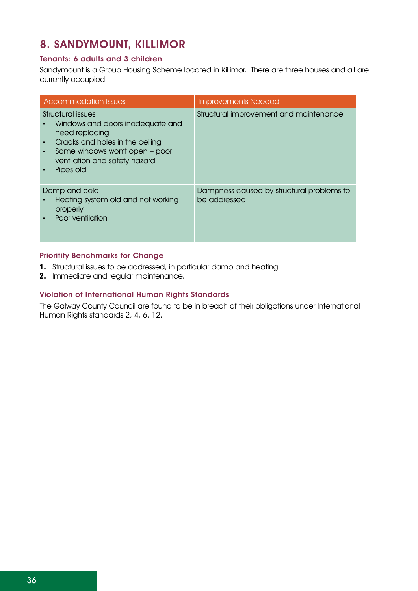### 8. Sandymount, Killimor

### Tenants: 6 adults and 3 children

Sandymount is a Group Housing Scheme located in Killimor. There are three houses and all are currently occupied.

| <b>Accommodation Issues</b>                                                                                                                                                                     | <b>Improvements Needed</b>                                |
|-------------------------------------------------------------------------------------------------------------------------------------------------------------------------------------------------|-----------------------------------------------------------|
| Structural issues<br>Windows and doors inadequate and<br>need replacing<br>Cracks and holes in the ceiling<br>Some windows won't open - poor<br>٠<br>ventilation and safety hazard<br>Pipes old | Structural improvement and maintenance                    |
| Damp and cold<br>Heating system old and not working<br>properly<br>Poor ventilation                                                                                                             | Dampness caused by structural problems to<br>be addressed |

### Prioritity Benchmarks for Change

- 1. Structural issues to be addressed, in particular damp and heating.
- 2. Immediate and regular maintenance.

### Violation of International Human Rights Standards

The Galway County Council are found to be in breach of their obligations under International Human Rights standards 2, 4, 6, 12.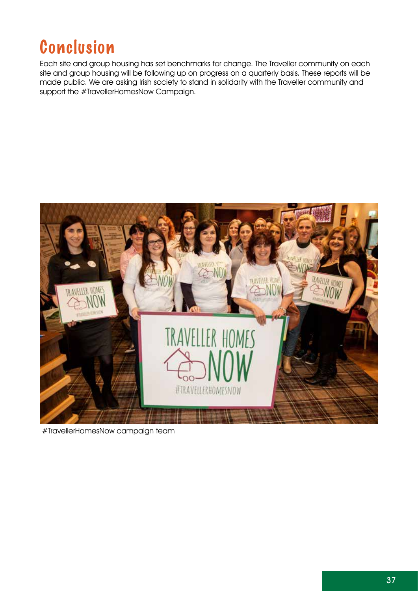# Conclusion

Each site and group housing has set benchmarks for change. The Traveller community on each site and group housing will be following up on progress on a quarterly basis. These reports will be made public. We are asking Irish society to stand in solidarity with the Traveller community and support the #TravellerHomesNow Campaign.



#TravellerHomesNow campaign team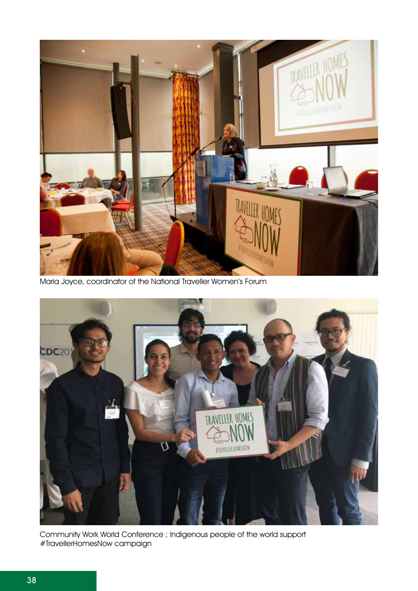

Maria Joyce, coordinator of the National Traveller Women's Forum



Community Work World Conference ; Indigenous people of the world support #TravellerHomesNow campaign